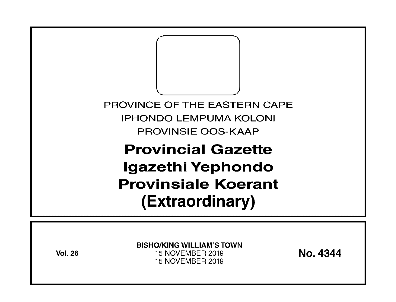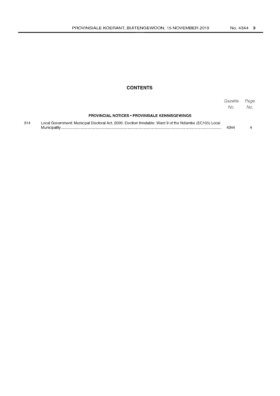## **CONTENTS**

|     |                                                                                                          | Gazette<br>No. | Page<br>No. |
|-----|----------------------------------------------------------------------------------------------------------|----------------|-------------|
|     | <b>PROVINCIAL NOTICES • PROVINSIALE KENNISGEWINGS</b>                                                    |                |             |
| 314 | Local Government: Municipal Electoral Act. 2000: Election timetable: Ward 9 of the Ndlambe (EC105) Local | 4344           |             |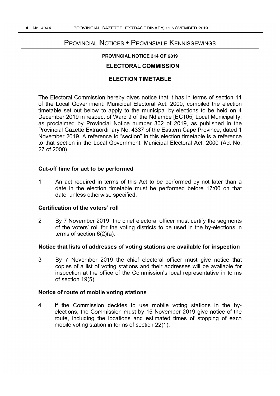# PROVINCIAL NOTICES • PROVINSIALE KENNISGEWINGS

## PROVINCIAL NOTICE 314 OF 2019

## ELECTORAL COMMISSION

## ELECTION TIMETABLE

The Electoral Commission hereby gives notice that it has in terms of section 11 of the Local Government: Municipal Electoral Act, 2000, compiled the election timetable set out below to apply to the municipal by-elections to be held on 4 December 2019 in respect of Ward 9 of the Ndlambe [EC105] Local Municipality; as proclaimed by Provincial Notice number 302 of 2019, as published in the Provincial Gazette Extraordinary No. 4337 of the Eastern Cape Province, dated 1 November 2019. A reference to "section" in this election timetable is a reference to that section in the Local Government: Municipal Electoral Act, 2000 (Act No. 27 of 2000).

#### Cut-off time for act to be performed

1 An act required in terms of this Act to be performed by not later than a date in the election timetable must be performed before 17:00 on that date, unless otherwise specified.

#### Certification of the voters' roll

2 By 7 November 2019 the chief electoral officer must certify the segments of the voters' roll for the voting districts to be used in the by-elections in terms of section 6(2)(a).

#### Notice that lists of addresses of voting stations are available for inspection

3 By 7 November 2019 the chief electoral officer must give notice that copies of a list of voting stations and their addresses will be available for inspection at the office of the Commission's local representative in terms of section 19(5).

#### Notice of route of mobile voting stations

4 If the Commission decides to use mobile voting stations in the byelections, the Commission must by 15 November 2019 give notice of the route, including the locations and estimated times of stopping of each mobile voting station in terms of section 22(1).